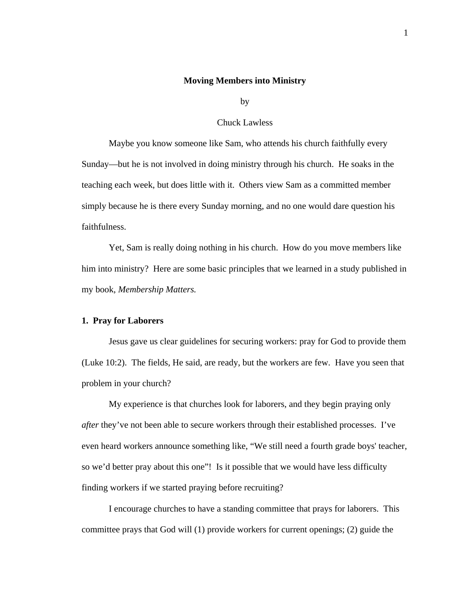### **Moving Members into Ministry**

by

### Chuck Lawless

Maybe you know someone like Sam, who attends his church faithfully every Sunday—but he is not involved in doing ministry through his church. He soaks in the teaching each week, but does little with it. Others view Sam as a committed member simply because he is there every Sunday morning, and no one would dare question his faithfulness.

Yet, Sam is really doing nothing in his church. How do you move members like him into ministry? Here are some basic principles that we learned in a study published in my book, *Membership Matters.* 

# **1. Pray for Laborers**

Jesus gave us clear guidelines for securing workers: pray for God to provide them (Luke 10:2). The fields, He said, are ready, but the workers are few. Have you seen that problem in your church?

My experience is that churches look for laborers, and they begin praying only *after* they've not been able to secure workers through their established processes. I've even heard workers announce something like, "We still need a fourth grade boys' teacher, so we'd better pray about this one"! Is it possible that we would have less difficulty finding workers if we started praying before recruiting?

I encourage churches to have a standing committee that prays for laborers. This committee prays that God will (1) provide workers for current openings; (2) guide the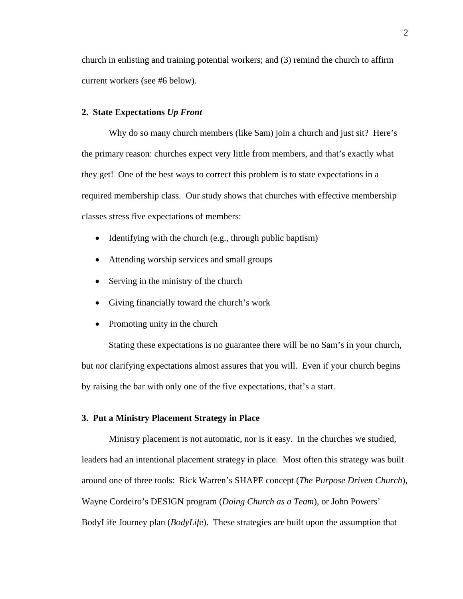church in enlisting and training potential workers; and (3) remind the church to affirm current workers (see #6 below).

## **2. State Expectations** *Up Front*

Why do so many church members (like Sam) join a church and just sit? Here's the primary reason: churches expect very little from members, and that's exactly what they get! One of the best ways to correct this problem is to state expectations in a required membership class. Our study shows that churches with effective membership classes stress five expectations of members:

- Identifying with the church (e.g., through public baptism)
- Attending worship services and small groups
- Serving in the ministry of the church
- Giving financially toward the church's work
- Promoting unity in the church

Stating these expectations is no guarantee there will be no Sam's in your church, but *not* clarifying expectations almost assures that you will. Even if your church begins by raising the bar with only one of the five expectations, that's a start.

# **3. Put a Ministry Placement Strategy in Place**

 Ministry placement is not automatic, nor is it easy. In the churches we studied, leaders had an intentional placement strategy in place. Most often this strategy was built around one of three tools: Rick Warren's SHAPE concept (*The Purpose Driven Church*), Wayne Cordeiro's DESIGN program (*Doing Church as a Team*), or John Powers' BodyLife Journey plan (*BodyLife*). These strategies are built upon the assumption that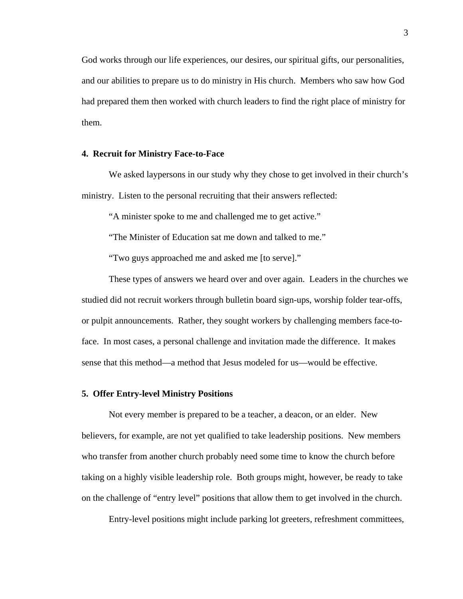God works through our life experiences, our desires, our spiritual gifts, our personalities, and our abilities to prepare us to do ministry in His church. Members who saw how God had prepared them then worked with church leaders to find the right place of ministry for them.

# **4. Recruit for Ministry Face-to-Face**

We asked laypersons in our study why they chose to get involved in their church's ministry. Listen to the personal recruiting that their answers reflected:

"A minister spoke to me and challenged me to get active."

"The Minister of Education sat me down and talked to me."

"Two guys approached me and asked me [to serve]."

These types of answers we heard over and over again. Leaders in the churches we studied did not recruit workers through bulletin board sign-ups, worship folder tear-offs, or pulpit announcements. Rather, they sought workers by challenging members face-toface. In most cases, a personal challenge and invitation made the difference. It makes sense that this method—a method that Jesus modeled for us—would be effective.

# **5. Offer Entry-level Ministry Positions**

Not every member is prepared to be a teacher, a deacon, or an elder. New believers, for example, are not yet qualified to take leadership positions. New members who transfer from another church probably need some time to know the church before taking on a highly visible leadership role. Both groups might, however, be ready to take on the challenge of "entry level" positions that allow them to get involved in the church.

Entry-level positions might include parking lot greeters, refreshment committees,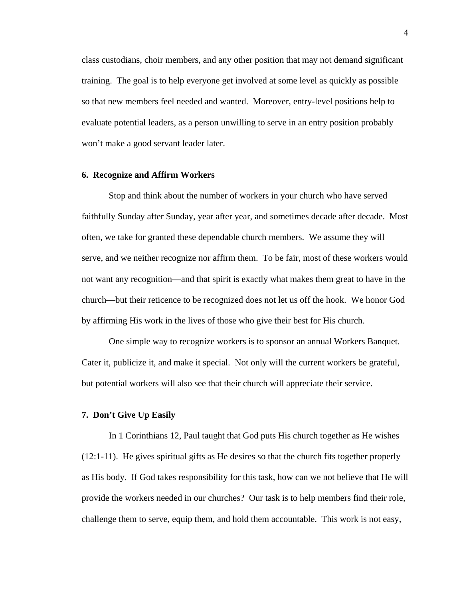class custodians, choir members, and any other position that may not demand significant training. The goal is to help everyone get involved at some level as quickly as possible so that new members feel needed and wanted. Moreover, entry-level positions help to evaluate potential leaders, as a person unwilling to serve in an entry position probably won't make a good servant leader later.

# **6. Recognize and Affirm Workers**

Stop and think about the number of workers in your church who have served faithfully Sunday after Sunday, year after year, and sometimes decade after decade. Most often, we take for granted these dependable church members. We assume they will serve, and we neither recognize nor affirm them. To be fair, most of these workers would not want any recognition—and that spirit is exactly what makes them great to have in the church—but their reticence to be recognized does not let us off the hook. We honor God by affirming His work in the lives of those who give their best for His church.

One simple way to recognize workers is to sponsor an annual Workers Banquet. Cater it, publicize it, and make it special. Not only will the current workers be grateful, but potential workers will also see that their church will appreciate their service.

#### **7. Don't Give Up Easily**

In 1 Corinthians 12, Paul taught that God puts His church together as He wishes (12:1-11). He gives spiritual gifts as He desires so that the church fits together properly as His body. If God takes responsibility for this task, how can we not believe that He will provide the workers needed in our churches? Our task is to help members find their role, challenge them to serve, equip them, and hold them accountable. This work is not easy,